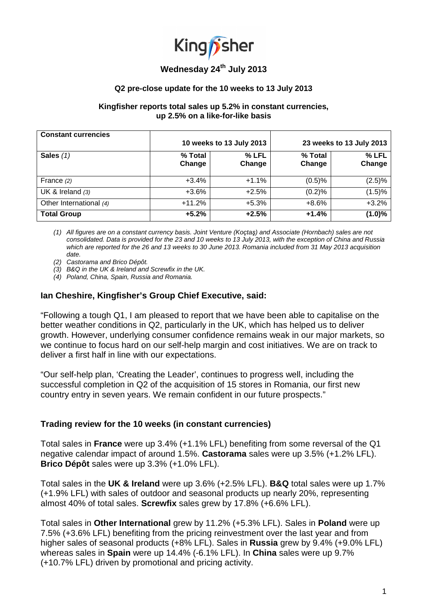

# **Wednesday 24th July 2013**

#### **Q2 pre-close update for the 10 weeks to 13 July 2013**

#### **Kingfisher reports total sales up 5.2% in constant currencies, up 2.5% on a like-for-like basis**

| <b>Constant currencies</b> | 10 weeks to 13 July 2013 |                   | 23 weeks to 13 July 2013 |                 |
|----------------------------|--------------------------|-------------------|--------------------------|-----------------|
| Sales $(1)$                | % Total<br>Change        | $%$ LFL<br>Change | % Total<br>Change        | % LFL<br>Change |
| France $(2)$               | $+3.4%$                  | $+1.1%$           | (0.5)%                   | (2.5)%          |
| UK & Ireland $(3)$         | $+3.6\%$                 | $+2.5%$           | (0.2)%                   | (1.5)%          |
| Other International (4)    | $+11.2%$                 | $+5.3%$           | $+8.6%$                  | $+3.2%$         |
| <b>Total Group</b>         | $+5.2%$                  | $+2.5%$           | $+1.4%$                  | (1.0)%          |

(1) All figures are on a constant currency basis. Joint Venture (Koçtaş) and Associate (Hornbach) sales are not consolidated. Data is provided for the 23 and 10 weeks to 13 July 2013, with the exception of China and Russia which are reported for the 26 and 13 weeks to 30 June 2013. Romania included from 31 May 2013 acquisition date.

(2) Castorama and Brico Dépôt.

(3) B&Q in the UK & Ireland and Screwfix in the UK.

(4) Poland, China, Spain, Russia and Romania.

### **Ian Cheshire, Kingfisher's Group Chief Executive, said:**

"Following a tough Q1, I am pleased to report that we have been able to capitalise on the better weather conditions in Q2, particularly in the UK, which has helped us to deliver growth. However, underlying consumer confidence remains weak in our major markets, so we continue to focus hard on our self-help margin and cost initiatives. We are on track to deliver a first half in line with our expectations.

"Our self-help plan, 'Creating the Leader', continues to progress well, including the successful completion in Q2 of the acquisition of 15 stores in Romania, our first new country entry in seven years. We remain confident in our future prospects."

### **Trading review for the 10 weeks (in constant currencies)**

Total sales in **France** were up 3.4% (+1.1% LFL) benefiting from some reversal of the Q1 negative calendar impact of around 1.5%. **Castorama** sales were up 3.5% (+1.2% LFL). **Brico Dépôt** sales were up 3.3% (+1.0% LFL).

Total sales in the **UK & Ireland** were up 3.6% (+2.5% LFL). **B&Q** total sales were up 1.7% (+1.9% LFL) with sales of outdoor and seasonal products up nearly 20%, representing almost 40% of total sales. **Screwfix** sales grew by 17.8% (+6.6% LFL).

Total sales in **Other International** grew by 11.2% (+5.3% LFL). Sales in **Poland** were up 7.5% (+3.6% LFL) benefiting from the pricing reinvestment over the last year and from higher sales of seasonal products (+8% LFL). Sales in **Russia** grew by 9.4% (+9.0% LFL) whereas sales in **Spain** were up 14.4% (-6.1% LFL). In **China** sales were up 9.7% (+10.7% LFL) driven by promotional and pricing activity.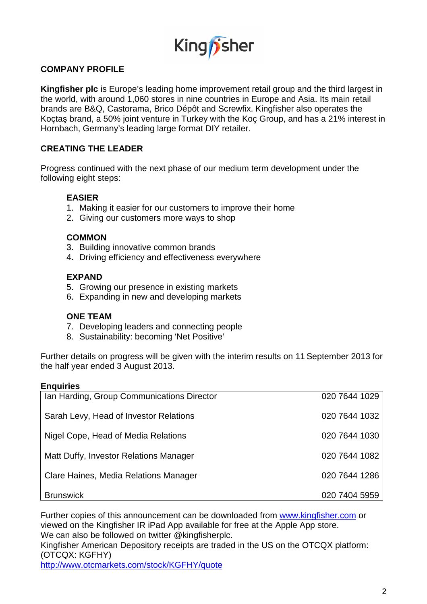

## **COMPANY PROFILE**

**Kingfisher plc** is Europe's leading home improvement retail group and the third largest in the world, with around 1,060 stores in nine countries in Europe and Asia. Its main retail brands are B&Q, Castorama, Brico Dépôt and Screwfix. Kingfisher also operates the Koçtaş brand, a 50% joint venture in Turkey with the Koç Group, and has a 21% interest in Hornbach, Germany's leading large format DIY retailer.

## **CREATING THE LEADER**

Progress continued with the next phase of our medium term development under the following eight steps:

## **EASIER**

- 1. Making it easier for our customers to improve their home
- 2. Giving our customers more ways to shop

## **COMMON**

- 3. Building innovative common brands
- 4. Driving efficiency and effectiveness everywhere

### **EXPAND**

- 5. Growing our presence in existing markets
- 6. Expanding in new and developing markets

### **ONE TEAM**

- 7. Developing leaders and connecting people
- 8. Sustainability: becoming 'Net Positive'

Further details on progress will be given with the interim results on 11 September 2013 for the half year ended 3 August 2013.

### **Enquiries**

| Ian Harding, Group Communications Director | 020 7644 1029 |
|--------------------------------------------|---------------|
| Sarah Levy, Head of Investor Relations     | 020 7644 1032 |
| Nigel Cope, Head of Media Relations        | 020 7644 1030 |
| Matt Duffy, Investor Relations Manager     | 020 7644 1082 |
| Clare Haines, Media Relations Manager      | 020 7644 1286 |
| <b>Brunswick</b>                           | 020 7404 5959 |

Further copies of this announcement can be downloaded from www.kingfisher.com or viewed on the Kingfisher IR iPad App available for free at the Apple App store. We can also be followed on twitter @kingfisherplc.

Kingfisher American Depository receipts are traded in the US on the OTCQX platform: (OTCQX: KGFHY)

http://www.otcmarkets.com/stock/KGFHY/quote